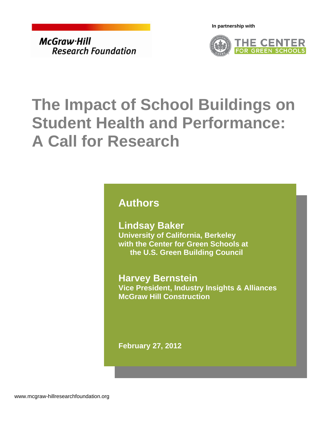**In partnership with** 

<span id="page-0-0"></span>McGraw Hill **Research Foundation** 



# **The Impact of School Buildings on Student Health and Performance: A Call for Research**

### **Authors**

**Lindsay Baker University of California, Berkeley with the Center for Green Schools at the U.S. Green Building Council** 

**Harvey Bernstein Vice President, Industry Insights & Alliances McGraw Hill Construction** 

**February 27, 2012**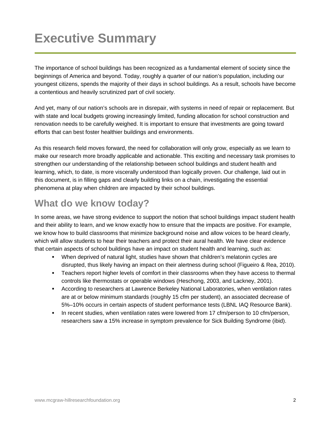## **Executive Summary**

The importance of school buildings has been recognized as a fundamental element of society since the beginnings of America and beyond. Today, roughly a quarter of our nation's population, including our youngest citizens, spends the majority of their days in school buildings. As a result, schools have become a contentious and heavily scrutinized part of civil society.

And yet, many of our nation's schools are in disrepair, with systems in need of repair or replacement. But with state and local budgets growing increasingly limited, funding allocation for school construction and renovation needs to be carefully weighed. It is important to ensure that investments are going toward efforts that can best foster healthier buildings and environments.

As this research field moves forward, the need for collaboration will only grow, especially as we learn to make our research more broadly applicable and actionable. This exciting and necessary task promises to strengthen our understanding of the relationship between school buildings and student health and learning, which, to date, is more viscerally understood than logically proven. Our challenge, laid out in this document, is in filling gaps and clearly building links on a chain, investigating the essential phenomena at play when children are impacted by their school buildings.

### **What do we know today?**

In some areas, we have strong evidence to support the notion that school buildings impact student health and their ability to learn, and we know exactly how to ensure that the impacts are positive. For example, we know how to build classrooms that minimize background noise and allow voices to be heard clearly, which will allow students to hear their teachers and protect their aural health. We have clear evidence that certain aspects of school buildings have an impact on student health and learning, such as:

- When deprived of natural light, studies have shown that children's melatonin cycles are disrupted, thus likely having an impact on their alertness during school (Figueiro & Rea, 2010).
- Teachers report higher levels of comfort in their classrooms when they have access to thermal controls like thermostats or operable windows (Heschong, 2003, and Lackney, 2001).
- According to researchers at Lawrence Berkeley National Laboratories, when ventilation rates are at or below minimum standards (roughly 15 cfm per student), an associated decrease of 5%–10% occurs in certain aspects of student performance tests (LBNL IAQ Resource Bank).
- In recent studies, when ventilation rates were lowered from 17 cfm/person to 10 cfm/person, researchers saw a 15% increase in symptom prevalence for Sick Building Syndrome (ibid).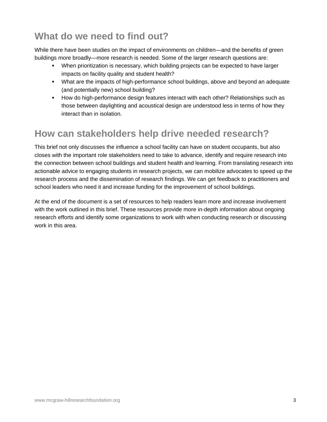### **What do we need to find out?**

While there have been studies on the impact of environments on children—and the benefits of green buildings more broadly—more research is needed. Some of the larger research questions are:

- When prioritization is necessary, which building projects can be expected to have larger impacts on facility quality and student health?
- What are the impacts of high-performance school buildings, above and beyond an adequate (and potentially new) school building?
- **How do high-performance design features interact with each other? Relationships such as** those between daylighting and acoustical design are understood less in terms of how they interact than in isolation.

### **How can stakeholders help drive needed research?**

This brief not only discusses the influence a school facility can have on student occupants, but also closes with the important role stakeholders need to take to advance, identify and require research into the connection between school buildings and student health and learning. From translating research into actionable advice to engaging students in research projects, we can mobilize advocates to speed up the research process and the dissemination of research findings. We can get feedback to practitioners and school leaders who need it and increase funding for the improvement of school buildings.

At the end of the document is a set of resources to help readers learn more and increase involvement with the work outlined in this brief. These resources provide more in-depth information about ongoing research efforts and identify some organizations to work with when conducting research or discussing work in this area.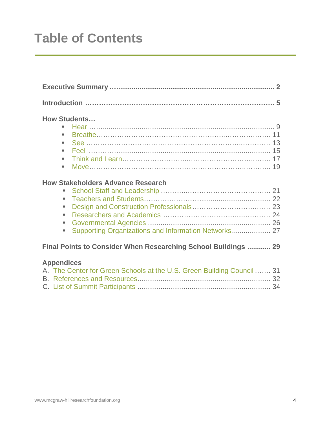## **Table of Contents**

| <b>How Students</b><br>٠<br>٠                                  | 19 |  |  |
|----------------------------------------------------------------|----|--|--|
| <b>How Stakeholders Advance Research</b><br>٠<br>u.            |    |  |  |
| Final Points to Consider When Researching School Buildings  29 |    |  |  |

### **Appendices**

| A. The Center for Green Schools at the U.S. Green Building Council  31 |  |
|------------------------------------------------------------------------|--|
|                                                                        |  |
|                                                                        |  |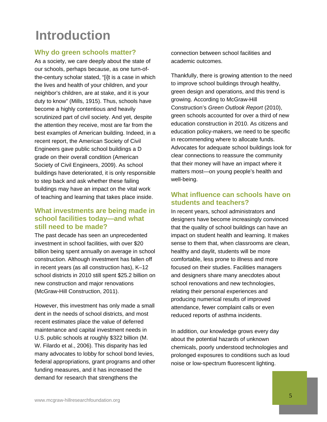## **Introduction**

### **Why do green schools matter?**

As a society, we care deeply about the state of our schools, perhaps because, as one turn-ofthe-century scholar stated, "[i]t is a case in which the lives and health of your children, and your neighbor's children, are at stake, and it is your duty to know" ([Mills, 1915\)](#page-0-0). Thus, schools have become a highly contentious and heavily scrutinized part of civil society. And yet, despite the attention they receive, most are far from the best examples of American building. Indeed, in a recent report, the American Society of Civil Engineers gave public school buildings a D grade on their overall condition ([American](#page-0-0)  [Society of Civil Engineers, 2009](#page-0-0)). As school buildings have deteriorated, it is only responsible to step back and ask whether these failing buildings may have an impact on the vital work of teaching and learning that takes place inside.

### **What investments are being made in school facilities today—and what still need to be made?**

The past decade has seen an unprecedented investment in school facilities, with over \$20 billion being spent annually on average in school construction. Although investment has fallen off in recent years (as all construction has), K–12 school districts in 2010 still spent \$25.2 billion on new construction and major renovations (McGraw-Hill Construction, 2011).

However, this investment has only made a small dent in the needs of school districts, and most recent estimates place the value of deferred maintenance and capital investment needs in U.S. public schools at roughly \$322 billion ([M.](#page-0-0)  [W. Filardo et al., 2006\)](#page-0-0). This disparity has led many advocates to lobby for school bond levies, federal appropriations, grant programs and other funding measures, and it has increased the demand for research that strengthens the

connection between school facilities and academic outcomes.

Thankfully, there is growing attention to the need to improve school buildings through healthy, green design and operations, and this trend is growing. According to McGraw-Hill Construction's *Green Outlook Report* (2010), green schools accounted for over a third of new education construction in 2010. As citizens and education policy-makers, we need to be specific in recommending where to allocate funds. Advocates for adequate school buildings look for clear connections to reassure the community that their money will have an impact where it matters most—on young people's health and well-being.

### **What influence can schools have on students and teachers?**

In recent years, school administrators and designers have become increasingly convinced that the quality of school buildings can have an impact on student health and learning. It makes sense to them that, when classrooms are clean, healthy and daylit, students will be more comfortable, less prone to illness and more focused on their studies. Facilities managers and designers share many anecdotes about school renovations and new technologies, relating their personal experiences and producing numerical results of improved attendance, fewer complaint calls or even reduced reports of asthma incidents.

In addition, our knowledge grows every day about the potential hazards of unknown chemicals, poorly understood technologies and prolonged exposures to conditions such as loud noise or low-spectrum fluorescent lighting.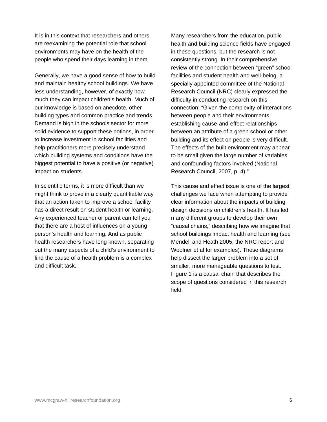It is in this context that researchers and others are reexamining the potential role that school environments may have on the health of the people who spend their days learning in them.

Generally, we have a good sense of how to build and maintain healthy school buildings. We have less understanding, however, of exactly how much they can impact children's health. Much of our knowledge is based on anecdote, other building types and common practice and trends. Demand is high in the schools sector for more solid evidence to support these notions, in order to increase investment in school facilities and help practitioners more precisely understand which building systems and conditions have the biggest potential to have a positive (or negative) impact on students.

In scientific terms, it is more difficult than we might think to prove in a clearly quantifiable way that an action taken to improve a school facility has a direct result on student health or learning. Any experienced teacher or parent can tell you that there are a host of influences on a young person's health and learning. And as public health researchers have long known, separating out the many aspects of a child's environment to find the cause of a health problem is a complex and difficult task.

Many researchers from the education, public health and building science fields have engaged in these questions, but the research is not consistently strong. In their comprehensive review of the connection between "green" school facilities and student health and well-being, a specially appointed committee of the National Research Council (NRC) clearly expressed the difficulty in conducting research on this connection: "Given the complexity of interactions between people and their environments, establishing cause-and-effect relationships between an attribute of a green school or other building and its effect on people is very difficult. The effects of the built environment may appear to be small given the large number of variables and confounding factors involved (National Research Council, 2007, p. 4)."

This cause and effect issue is one of the largest challenges we face when attempting to provide clear information about the impacts of building design decisions on children's health. It has led many different groups to develop their own "causal chains," describing how we imagine that school buildings impact health and learning (see Mendell and Heath 2005, the NRC report and Woolner et al for examples). These diagrams help dissect the larger problem into a set of smaller, more manageable questions to test. Figure 1 is a causal chain that describes the scope of questions considered in this research field.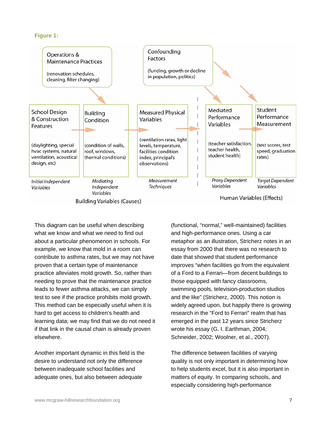#### **Figure 1:**



This diagram can be useful when describing what we know and what we need to find out about a particular phenomenon in schools. For example, we know that mold in a room can contribute to asthma rates, but we may not have proven that a certain type of maintenance practice alleviates mold growth. So, rather than needing to prove that the maintenance practice leads to fewer asthma attacks, we can simply test to see if the practice prohibits mold growth. This method can be especially useful when it is hard to get access to children's health and learning data; we may find that we do not need it if that link in the causal chain is already proven elsewhere.

Another important dynamic in this field is the desire to understand not only the difference between inadequate school facilities and adequate ones, but also between adequate

(functional, "normal," well-maintained) facilities and high-performance ones. Using a car metaphor as an illustration, Stricherz notes in an essay from 2000 that there was no research to date that showed that student performance improves "when facilities go from the equivalent of a Ford to a Ferrari—from decent buildings to those equipped with fancy classrooms, swimming pools, television-production studios and the like" [\(Stricherz, 2000\)](#page-0-0). This notion is widely agreed upon, but happily there is growing research in the "Ford to Ferrari" realm that has emerged in the past 12 years since Stricherz wrote his essay (G. I. Earthman, 2004; Schneider, 2002; Woolner, et al., 2007).

The difference between facilities of varying quality is not only important in determining how to help students excel, but it is also important in matters of equity. In comparing schools, and especially considering high-performance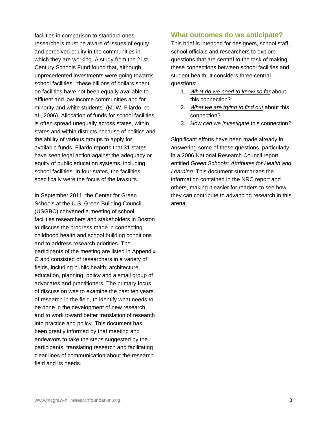facilities in comparison to standard ones, researchers must be aware of issues of equity and perceived equity in the communities in which they are working. A study from the 21st Century Schools Fund found that, although unprecedented investments were going towards school facilities, "these billions of dollars spent on facilities have not been equally available to affluent and low-income communities and for minority and white students" (M. W. Filardo, et al., 2006). Allocation of funds for school facilities is often spread unequally across states, within states and within districts because of politics and the ability of various groups to apply for available funds. Filardo reports that 31 states have seen legal action against the adequacy or equity of public education systems, including school facilities. In four states, the facilities specifically were the focus of the lawsuits.

In September 2011, the Center for Green Schools at the U.S. Green Building Council (USGBC) convened a meeting of school facilities researchers and stakeholders in Boston to discuss the progress made in connecting childhood health and school building conditions and to address research priorities. The participants of the meeting are listed in Appendix C and consisted of researchers in a variety of fields, including public health, architecture, education, planning, policy and a small group of advocates and practitioners. The primary focus of discussion was to examine the past ten years of research in the field, to identify what needs to be done in the development of new research and to work toward better translation of research into practice and policy. This document has been greatly informed by that meeting and endeavors to take the steps suggested by the participants, translating research and facilitating clear lines of communication about the research field and its needs.

### **What outcomes do we anticipate?**

This brief is intended for designers, school staff, school officials and researchers to explore questions that are central to the task of making these connections between school facilities and student health. It considers three central questions:

- 1. *What do we need to know so far* about this connection?
- 2. *What we are trying to find out* about this connection?
- 3. *How can we investigate* this connection?

Significant efforts have been made already in answering some of these questions, particularly in a 2006 National Research Council report entitled *Green Schools: Attributes for Health and Learning*. This document summarizes the information contained in the NRC report and others, making it easier for readers to see how they can contribute to advancing research in this arena.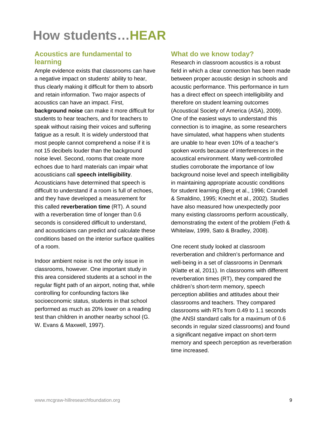# **How students…HEAR**

### **Acoustics are fundamental to learning**

Ample evidence exists that classrooms can have a negative impact on students' ability to hear, thus clearly making it difficult for them to absorb and retain information. Two major aspects of acoustics can have an impact. First, **background noise** can make it more difficult for students to hear teachers, and for teachers to speak without raising their voices and suffering fatigue as a result. It is widely understood that most people cannot comprehend a noise if it is not 15 decibels louder than the background noise level. Second, rooms that create more echoes due to hard materials can impair what acousticians call **speech intelligibility**. Acousticians have determined that speech is difficult to understand if a room is full of echoes, and they have developed a measurement for this called **reverberation time** (RT). A sound with a reverberation time of longer than 0.6 seconds is considered difficult to understand, and acousticians can predict and calculate these conditions based on the interior surface qualities of a room.

Indoor ambient noise is not the only issue in classrooms, however. One important study in this area considered students at a school in the regular flight path of an airport, noting that, while controlling for confounding factors like socioeconomic status, students in that school performed as much as 20% lower on a reading test than children in another nearby school (G. W. Evans & Maxwell, 1997).

### **What do we know today?**

Research in classroom acoustics is a robust field in which a clear connection has been made between proper acoustic design in schools and acoustic performance. This performance in turn has a direct effect on speech intelligibility and therefore on student learning outcomes ([Acoustical Society of America \(ASA\), 2009](#page-0-0)). One of the easiest ways to understand this connection is to imagine, as some researchers have simulated, what happens when students are unable to hear even 10% of a teacher's spoken words because of interferences in the acoustical environment. Many well-controlled studies corroborate the importance of low background noise level and speech intelligibility in maintaining appropriate acoustic conditions for student learning (Berg et al., 1996; Crandell & Smaldino, 1995; Knecht et al., 2002). Studies have also measured how unexpectedly poor many existing classrooms perform acoustically, demonstrating the extent of the problem (Feth & Whitelaw, 1999, Sato & Bradley, 2008).

One recent study looked at classroom reverberation and children's performance and well-being in a set of classrooms in Denmark (Klatte et al, 2011). In classrooms with different reverberation times (RT), they compared the children's short-term memory, speech perception abilities and attitudes about their classrooms and teachers. They compared classrooms with RTs from 0.49 to 1.1 seconds (the ANSI standard calls for a maximum of 0.6 seconds in regular sized classrooms) and found a significant negative impact on short-term memory and speech perception as reverberation time increased.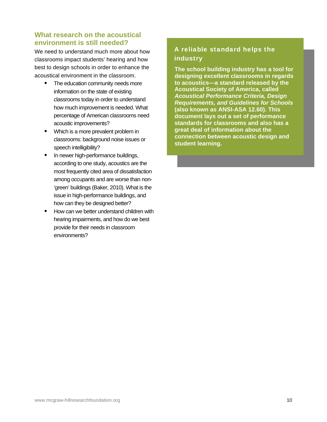### **What research on the acoustical environment is still needed?**

We need to understand much more about how classrooms impact students' hearing and how best to design schools in order to enhance the acoustical environment in the classroom.

- The education community needs more information on the state of existing classrooms today in order to understand how much improvement is needed. What percentage of American classrooms need acoustic improvements?
- **Which is a more prevalent problem in** classrooms: background noise issues or speech intelligibility?
- In newer high-performance buildings, according to one study, acoustics are the most frequently cited area of dissatisfaction among occupants and are worse than non- 'green' buildings (Baker, 2010). What is the issue in high-performance buildings, and how can they be designed better?
- How can we better understand children with hearing impairments, and how do we best provide for their needs in classroom environments?

### A reliable standard helps the industry

**The school building industry has a tool for designing excellent classrooms in regards to acoustics—a standard released by the Acoustical Society of America, called**  *Acoustical Performance Criteria, Design Requirements, and Guidelines for Schools* **(also known as ANSI-ASA 12.60). This document lays out a set of performance standards for classrooms and also has a great deal of information about the connection between acoustic design and student learning.**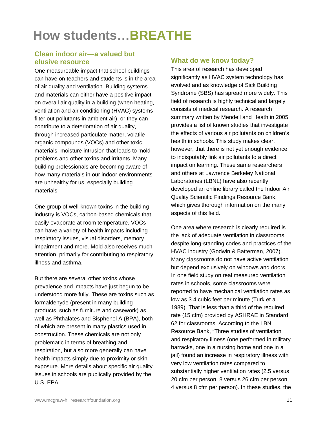# **How students…BREATHE**

### **Clean indoor air—a valued but elusive resource**

One measureable impact that school buildings can have on teachers and students is in the area of air quality and ventilation. Building systems and materials can either have a positive impact on overall air quality in a building (when heating, ventilation and air conditioning (HVAC) systems filter out pollutants in ambient air), or they can contribute to a deterioration of air quality, through increased particulate matter, volatile organic compounds (VOCs) and other toxic materials, moisture intrusion that leads to mold problems and other toxins and irritants. Many building professionals are becoming aware of how many materials in our indoor environments are unhealthy for us, especially building materials.

One group of well-known toxins in the building industry is VOCs, carbon-based chemicals that easily evaporate at room temperature. VOCs can have a variety of health impacts including respiratory issues, visual disorders, memory impairment and more. Mold also receives much attention, primarily for contributing to respiratory illness and asthma.

But there are several other toxins whose prevalence and impacts have just begun to be understood more fully. These are toxins such as formaldehyde (present in many building products, such as furniture and casework) as well as Phthalates and Bisphenol A (BPA), both of which are present in many plastics used in construction. These chemicals are not only problematic in terms of breathing and respiration, but also more generally can have health impacts simply due to proximity or skin exposure. More details about specific air quality issues in schools are publically provided by the U.S. EPA.

### **What do we know today?**

This area of research has developed significantly as HVAC system technology has evolved and as knowledge of Sick Building Syndrome (SBS) has spread more widely. This field of research is highly technical and largely consists of medical research. A research summary written by Mendell and Heath in 2005 provides a list of known studies that investigate the effects of various air pollutants on children's health in schools. This study makes clear, however, that there is not yet enough evidence to indisputably link air pollutants to a direct impact on learning. These same researchers and others at Lawrence Berkeley National Laboratories (LBNL) have also recently developed an online library called the Indoor Air Quality Scientific Findings Resource Bank, which gives thorough information on the many aspects of this field.

One area where research is clearly required is the lack of adequate ventilation in classrooms, despite long-standing codes and practices of the HVAC industry ([Godwin & Batterman, 2007\)](#page-0-0). Many classrooms do not have active ventilation but depend exclusively on windows and doors. In one field study on real measured ventilation rates in schools, some classrooms were reported to have mechanical ventilation rates as low as 3.4 cubic feet per minute [\(Turk et al.,](#page-0-0)  [1989\)](#page-0-0). That is less than a third of the required rate (15 cfm) provided by ASHRAE in Standard 62 for classrooms. According to the LBNL Resource Bank, "Three studies of ventilation and respiratory illness (one performed in military barracks, one in a nursing home and one in a jail) found an increase in respiratory illness with very low ventilation rates compared to substantially higher ventilation rates (2.5 versus 20 cfm per person, 8 versus 26 cfm per person, 4 versus 8 cfm per person). In these studies, the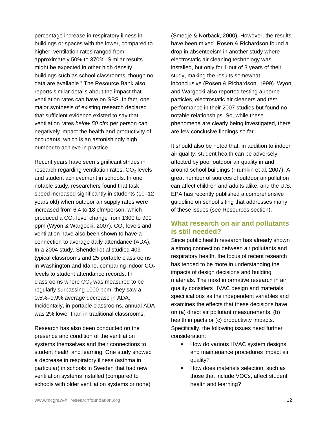percentage increase in respiratory illness in buildings or spaces with the lower, compared to higher, ventilation rates ranged from approximately 50% to 370%. Similar results might be expected in other high density buildings such as school classrooms, though no data are available." The Resource Bank also reports similar details about the impact that ventilation rates can have on SBS. In fact, one major synthesis of existing research declared that sufficient evidence existed to say that ventilation rates *below 50 cfm* per person can negatively impact the health and productivity of occupants, which is an astonishingly high number to achieve in practice.

Recent years have seen significant strides in research regarding ventilation rates,  $CO<sub>2</sub>$  levels and student achievement in schools. In one notable study, researchers found that task speed increased significantly in students (10–12 years old) when outdoor air supply rates were increased from 6.4 to 18 cfm/person, which produced a  $CO<sub>2</sub>$  level change from 1300 to 900 ppm ([Wyon & Wargocki, 2007](#page-0-0)).  $CO<sub>2</sub>$  levels and ventilation have also been shown to have a connection to average daily attendance (ADA). In a 2004 study, Shendell et al studied 409 typical classrooms and 25 portable classrooms in Washington and Idaho, comparing indoor  $CO<sub>2</sub>$ levels to student attendance records. In classrooms where  $CO<sub>2</sub>$  was measured to be regularly surpassing 1000 ppm, they saw a 0.5%–0.9% average decrease in ADA. Incidentally, in portable classrooms, annual ADA was 2% lower than in traditional classrooms.

Research has also been conducted on the presence and condition of the ventilation systems themselves and their connections to student health and learning. One study showed a decrease in respiratory illness (asthma in particular) in schools in Sweden that had new ventilation systems installed (compared to schools with older ventilation systems or none)

([Smedje & Norbäck, 2000\)](#page-0-0). However, the results have been mixed. Rosen & Richardson found a drop in absenteeism in another study where electrostatic air cleaning technology was installed, but only for 1 out of 3 years of their study, making the results somewhat inconclusive [\(Rosen & Richardson, 1999](#page-0-0)). Wyon and Wargocki also reported testing airborne particles, electrostatic air cleaners and test performance in their 2007 studies but found no notable relationships. So, while these phenomena are clearly being investigated, there are few conclusive findings so far.

It should also be noted that, in addition to indoor air quality, student health can be adversely affected by poor outdoor air quality in and around school buildings (Frumkin et al, 2007). A great number of sources of outdoor air pollution can affect children and adults alike, and the U.S. EPA has recently published a comprehensive guideline on school siting that addresses many of these issues (see Resources section).

### **What research on air and pollutants is still needed?**

Since public health research has already shown a strong connection between air pollutants and respiratory health, the focus of recent research has tended to be more in understanding the impacts of design decisions and building materials. The most informative research in air quality considers HVAC design and materials specifications as the independent variables and examines the effects that these decisions have on (a) direct air pollutant measurements, (b) health impacts or (c) productivity impacts. Specifically, the following issues need further consideration:

- **How do various HVAC system designs** and maintenance procedures impact air quality?
- **How does materials selection, such as** those that include VOCs, affect student health and learning?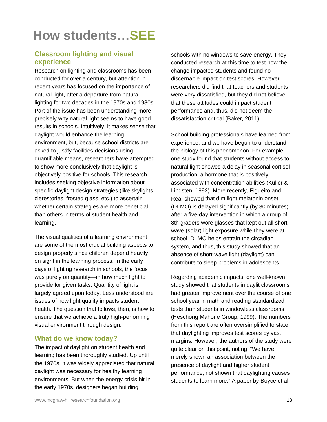# **How students…SEE**

### **Classroom lighting and visual experience**

Research on lighting and classrooms has been conducted for over a century, but attention in recent years has focused on the importance of natural light, after a departure from natural lighting for two decades in the 1970s and 1980s. Part of the issue has been understanding more precisely why natural light seems to have good results in schools. Intuitively, it makes sense that daylight would enhance the learning environment, but, because school districts are asked to justify facilities decisions using quantifiable means, researchers have attempted to show more conclusively that daylight is objectively positive for schools. This research includes seeking objective information about specific daylight design strategies (like skylights, clerestories, frosted glass, etc.) to ascertain whether certain strategies are more beneficial than others in terms of student health and learning.

The visual qualities of a learning environment are some of the most crucial building aspects to design properly since children depend heavily on sight in the learning process. In the early days of lighting research in schools, the focus was purely on quantity—in how much light to provide for given tasks. Quantity of light is largely agreed upon today. Less understood are issues of how light quality impacts student health. The question that follows, then, is how to ensure that we achieve a truly high-performing visual environment through design.

### **What do we know today?**

The impact of daylight on student health and learning has been thoroughly studied. Up until the 1970s, it was widely appreciated that natural daylight was necessary for healthy learning environments. But when the energy crisis hit in the early 1970s, designers began building

schools with no windows to save energy. They conducted research at this time to test how the change impacted students and found no discernable impact on test scores. However, researchers did find that teachers and students were very dissatisfied, but they did not believe that these attitudes could impact student performance and, thus, did not deem the dissatisfaction critical (Baker, 2011).

School building professionals have learned from experience, and we have begun to understand the biology of this phenomenon. For example, one study found that students without access to natural light showed a delay in seasonal cortisol production, a hormone that is positively associated with concentration abilities [\(Kuller &](#page-0-0)  [Lindsten, 1992](#page-0-0)). More recently, Figueiro and Rea showed that dim light melatonin onset (DLMO) is delayed significantly (by 30 minutes) after a five-day intervention in which a group of 8th graders wore glasses that kept out all shortwave (solar) light exposure while they were at school. DLMO helps entrain the circadian system, and thus, this study showed that an absence of short-wave light (daylight) can contribute to sleep problems in adolescents.

Regarding academic impacts, one well-known study showed that students in daylit classrooms had greater improvement over the course of one school year in math and reading standardized tests than students in windowless classrooms (Heschong Mahone Group, 1999). The numbers from this report are often oversimplified to state that daylighting improves test scores by vast margins. However, the authors of the study were quite clear on this point, noting, "We have merely shown an association between the presence of daylight and higher student performance, not shown that daylighting causes students to learn more." A paper by Boyce et al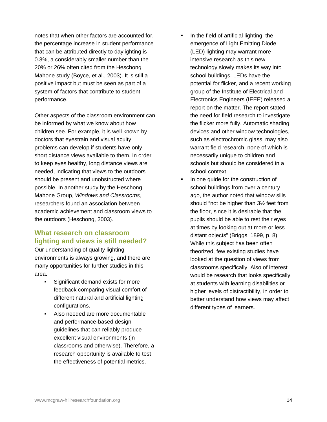notes that when other factors are accounted for, the percentage increase in student performance that can be attributed directly to daylighting is 0.3%, a considerably smaller number than the 20% or 26% often cited from the Heschong Mahone study [\(Boyce, et al., 2003](#page-0-0)). It is still a positive impact but must be seen as part of a system of factors that contribute to student performance.

Other aspects of the classroom environment can be informed by what we know about how children see. For example, it is well known by doctors that eyestrain and visual acuity problems can develop if students have only short distance views available to them. In order to keep eyes healthy, long distance views are needed, indicating that views to the outdoors should be present and unobstructed where possible. In another study by the Heschong Mahone Group, *Windows and Classrooms*, researchers found an association between academic achievement and classroom views to the outdoors ([Heschong, 2003](#page-0-0)).

### **What research on classroom lighting and views is still needed?**

Our understanding of quality lighting environments is always growing, and there are many opportunities for further studies in this area.

- Significant demand exists for more feedback comparing visual comfort of different natural and artificial lighting configurations.
- Also needed are more documentable and performance-based design guidelines that can reliably produce excellent visual environments (in classrooms and otherwise). Therefore, a research opportunity is available to test the effectiveness of potential metrics.
- $\blacksquare$  In the field of artificial lighting, the emergence of Light Emitting Diode (LED) lighting may warrant more intensive research as this new technology slowly makes its way into school buildings. LEDs have the potential for flicker, and a recent working group of the Institute of Electrical and Electronics Engineers (IEEE) released a report on the matter. The report stated the need for field research to investigate the flicker more fully. Automatic shading devices and other window technologies, such as electrochromic glass, may also warrant field research, none of which is necessarily unique to children and schools but should be considered in a school context.
- In one guide for the construction of school buildings from over a century ago, the author noted that window sills should "not be higher than 3½ feet from the floor, since it is desirable that the pupils should be able to rest their eyes at times by looking out at more or less distant objects" [\(Briggs, 1899, p. 8\)](#page-0-0). While this subject has been often theorized, few existing studies have looked at the question of views from classrooms specifically. Also of interest would be research that looks specifically at students with learning disabilities or higher levels of distractibility, in order to better understand how views may affect different types of learners.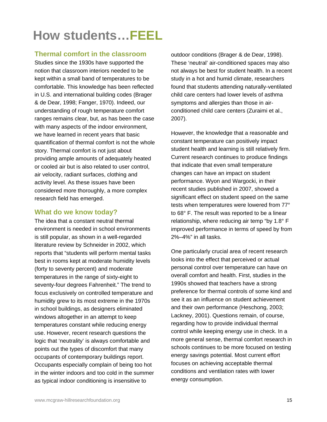# **How students…FEEL**

### **Thermal comfort in the classroom**

Studies since the 1930s have supported the notion that classroom interiors needed to be kept within a small band of temperatures to be comfortable. This knowledge has been reflected in U.S. and international building codes [\(Brager](#page-0-0)  [& de Dear, 1998](#page-0-0); [Fanger, 1970](#page-0-0)). Indeed, our understanding of rough temperature comfort ranges remains clear, but, as has been the case with many aspects of the indoor environment. we have learned in recent years that basic quantification of thermal comfort is not the whole story. Thermal comfort is not just about providing ample amounts of adequately heated or cooled air but is also related to user control, air velocity, radiant surfaces, clothing and activity level. As these issues have been considered more thoroughly, a more complex research field has emerged.

### **What do we know today?**

The idea that a constant neutral thermal environment is needed in school environments is still popular, as shown in a well-regarded literature review by Schneider in 2002, which reports that "students will perform mental tasks best in rooms kept at moderate humidity levels (forty to seventy percent) and moderate temperatures in the range of sixty-eight to seventy-four degrees Fahrenheit." The trend to focus exclusively on controlled temperature and humidity grew to its most extreme in the 1970s in school buildings, as designers eliminated windows altogether in an attempt to keep temperatures constant while reducing energy use. However, recent research questions the logic that 'neutrality' is always comfortable and points out the types of discomfort that many occupants of contemporary buildings report. Occupants especially complain of being too hot in the winter indoors and too cold in the summer as typical indoor conditioning is insensitive to

outdoor conditions (Brager & de Dear, 1998). These 'neutral' air-conditioned spaces may also not always be best for student health. In a recent study in a hot and humid climate, researchers found that students attending naturally-ventilated child care centers had lower levels of asthma symptoms and allergies than those in airconditioned child care centers ([Zuraimi et al.,](#page-0-0)  [2007\)](#page-0-0).

However, the knowledge that a reasonable and constant temperature can positively impact student health and learning is still relatively firm. Current research continues to produce findings that indicate that even small temperature changes can have an impact on student performance. Wyon and Wargocki, in their recent studies published in 2007, showed a significant effect on student speed on the same tests when temperatures were lowered from 77° to 68° F. The result was reported to be a linear relationship, where reducing air temp "by 1.8° F improved performance in terms of speed by from 2%–4%" in all tasks.

One particularly crucial area of recent research looks into the effect that perceived or actual personal control over temperature can have on overall comfort and health. First, studies in the 1990s showed that teachers have a strong preference for thermal controls of some kind and see it as an influence on student achievement and their own performance ([Heschong, 2003](#page-0-0); [Lackney, 2001\)](#page-0-0). Questions remain, of course, regarding how to provide individual thermal control while keeping energy use in check. In a more general sense, thermal comfort research in schools continues to be more focused on testing energy savings potential. Most current effort focuses on achieving acceptable thermal conditions and ventilation rates with lower energy consumption.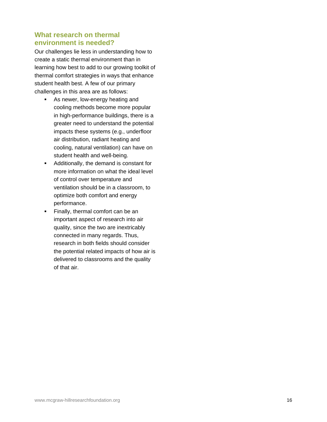### **What research on thermal environment is needed?**

Our challenges lie less in understanding how to create a static thermal environment than in learning how best to add to our growing toolkit of thermal comfort strategies in ways that enhance student health best. A few of our primary challenges in this area are as follows:

- As newer, low-energy heating and cooling methods become more popular in high-performance buildings, there is a greater need to understand the potential impacts these systems (e.g., underfloor air distribution, radiant heating and cooling, natural ventilation) can have on student health and well-being.
- Additionally, the demand is constant for more information on what the ideal level of control over temperature and ventilation should be in a classroom, to optimize both comfort and energy performance.
- Finally, thermal comfort can be an important aspect of research into air quality, since the two are inextricably connected in many regards. Thus, research in both fields should consider the potential related impacts of how air is delivered to classrooms and the quality of that air.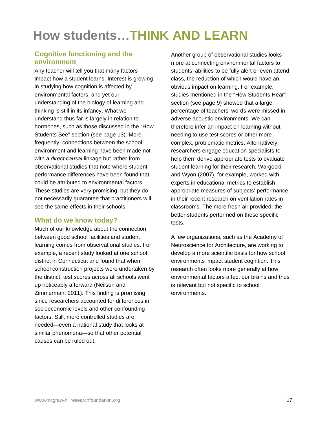# **How students…THINK AND LEARN**

### **Cognitive functioning and the environment**

Any teacher will tell you that many factors impact how a student learns. Interest is growing in studying how cognition is affected by environmental factors, and yet our understanding of the biology of learning and thinking is still in its infancy. What we understand thus far is largely in relation to hormones, such as those discussed in the "How Students See" section (see page 13). More frequently, connections between the school environment and learning have been made not with a *direct causal* linkage but rather from observational studies that note where student performance differences have been found that could be attributed to environmental factors. These studies are very promising, but they do not necessarily guarantee that practitioners will see the same effects in their schools.

### **What do we know today?**

Much of our knowledge about the connection between good school facilities and student learning comes from observational studies. For example, a recent study looked at one school district in Connecticut and found that when school construction projects were undertaken by the district, test scores across all schools went up noticeably afterward (Neilson and Zimmerman, 2011). This finding is promising since researchers accounted for differences in socioeconomic levels and other confounding factors. Still, more controlled studies are needed—even a national study that looks at similar phenomena—so that other potential causes can be ruled out.

Another group of observational studies looks more at connecting environmental factors to students' abilities to be fully alert or even attend class, the reduction of which would have an obvious impact on learning. For example, studies mentioned in the "How Students Hear" section (see page 9) showed that a large percentage of teachers' words were missed in adverse acoustic environments. We can therefore infer an impact on learning without needing to use test scores or other more complex, problematic metrics. Alternatively, researchers engage education specialists to help them derive appropriate tests to evaluate student learning for their research. Wargocki and Wyon (2007), for example, worked with experts in educational metrics to establish appropriate measures of subjects' performance in their recent research on ventilation rates in classrooms. The more fresh air provided, the better students performed on these specific tests.

A few organizations, such as the Academy of Neuroscience for Architecture, are working to develop a more scientific basis for how school environments impact student cognition. This research often looks more generally at how environmental factors affect our brains and thus is relevant but not specific to school environments.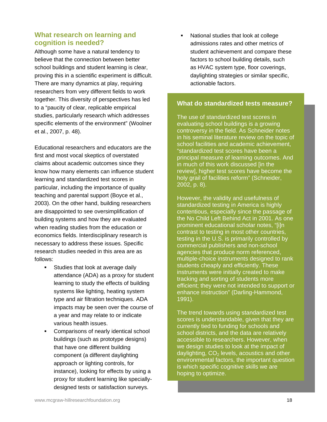### **What research on learning and cognition is needed?**

Although some have a natural tendency to believe that the connection between better school buildings and student learning is clear, proving this in a scientific experiment is difficult. There are many dynamics at play, requiring researchers from very different fields to work together. This diversity of perspectives has led to a "paucity of clear, replicable empirical studies, particularly research which addresses specific elements of the environment" [\(Woolner](#page-0-0)  [et al., 2007, p. 48\)](#page-0-0).

Educational researchers and educators are the first and most vocal skeptics of overstated claims about academic outcomes since they know how many elements can influence student learning and standardized test scores in particular, including the importance of quality teaching and parental support (Boyce et al., 2003). On the other hand, building researchers are disappointed to see oversimplification of building systems and how they are evaluated when reading studies from the education or economics fields. Interdisciplinary research is necessary to address these issues. Specific research studies needed in this area are as follows:

- **Studies that look at average daily** attendance (ADA) as a proxy for student learning to study the effects of building systems like lighting, heating system type and air filtration techniques. ADA impacts may be seen over the course of a year and may relate to or indicate various health issues.
- Comparisons of nearly identical school buildings (such as prototype designs) that have one different building component (a different daylighting approach or lighting controls, for instance), looking for effects by using a proxy for student learning like speciallydesigned tests or satisfaction surveys.

• National studies that look at college admissions rates and other metrics of student achievement and compare these factors to school building details, such as HVAC system type, floor coverings, daylighting strategies or similar specific, actionable factors.

#### **What do standardized tests measure?**

The use of standardized test scores in evaluating school buildings is a growing controversy in the field. As Schneider notes in his seminal literature review on the topic of school facilities and academic achievement, "standardized test scores have been a principal measure of learning outcomes. And in much of this work discussed [in the review], higher test scores have become the holy grail of facilities reform" (Schneider, 2002, p. 8).

However, the validity and usefulness of standardized testing in America is highly contentious, especially since the passage of the No Child Left Behind Act in 2001. As one prominent educational scholar notes, "[i]n contrast to testing in most other countries, testing in the U.S. is primarily controlled by commercial publishers and non-school agencies that produce norm referenced, multiple-choice instruments designed to rank students cheaply and efficiently. These instruments were initially created to make tracking and sorting of students more efficient; they were not intended to support or enhance instruction" (Darling-Hammond, 1991).

The trend towards using standardized test scores is understandable, given that they are currently tied to funding for schools and school districts, and the data are relatively accessible to researchers. However, when we design studies to look at the impact of daylighting,  $CO<sub>2</sub>$  levels, acoustics and other environmental factors, the important question is which specific cognitive skills we are hoping to optimize.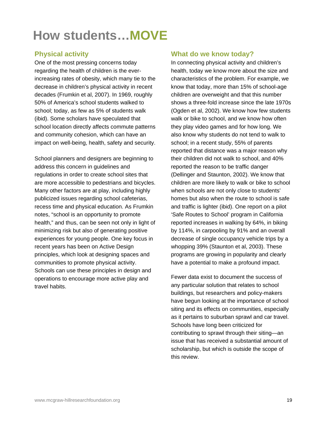## **How students…MOVE**

### **Physical activity**

One of the most pressing concerns today regarding the health of children is the everincreasing rates of obesity, which many tie to the decrease in children's physical activity in recent decades (Frumkin et al, 2007). In 1969, roughly 50% of America's school students walked to school; today, as few as 5% of students walk (ibid). Some scholars have speculated that school location directly affects commute patterns and community cohesion, which can have an impact on well-being, health, safety and security.

School planners and designers are beginning to address this concern in guidelines and regulations in order to create school sites that are more accessible to pedestrians and bicycles. Many other factors are at play, including highly publicized issues regarding school cafeterias, recess time and physical education. As Frumkin notes, "school is an opportunity to promote health," and thus, can be seen not only in light of minimizing risk but also of generating positive experiences for young people. One key focus in recent years has been on Active Design principles, which look at designing spaces and communities to promote physical activity. Schools can use these principles in design and operations to encourage more active play and travel habits.

### **What do we know today?**

In connecting physical activity and children's health, today we know more about the size and characteristics of the problem. For example, we know that today, more than 15% of school-age children are overweight and that this number shows a three-fold increase since the late 1970s (Ogden et al, 2002). We know how few students walk or bike to school, and we know how often they play video games and for how long. We also know why students do not tend to walk to school; in a recent study, 55% of parents reported that distance was a major reason why their children did not walk to school, and 40% reported the reason to be traffic danger (Dellinger and Staunton, 2002). We know that children are more likely to walk or bike to school when schools are not only close to students' homes but also when the route to school is safe and traffic is lighter (ibid). One report on a pilot 'Safe Routes to School' program in California reported increases in walking by 64%, in biking by 114%, in carpooling by 91% and an overall decrease of single occupancy vehicle trips by a whopping 39% (Staunton et al, 2003). These programs are growing in popularity and clearly have a potential to make a profound impact.

Fewer data exist to document the success of any particular solution that relates to school buildings, but researchers and policy-makers have begun looking at the importance of school siting and its effects on communities, especially as it pertains to suburban sprawl and car travel. Schools have long been criticized for contributing to sprawl through their siting—an issue that has received a substantial amount of scholarship, but which is outside the scope of this review.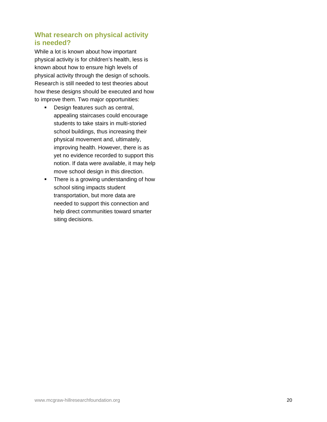### **What research on physical activity is needed?**

While a lot is known about how important physical activity is for children's health, less is known about how to ensure high levels of physical activity through the design of schools. Research is still needed to test theories about how these designs should be executed and how to improve them. Two major opportunities:

- **Design features such as central,** appealing staircases could encourage students to take stairs in multi-storied school buildings, thus increasing their physical movement and, ultimately, improving health. However, there is as yet no evidence recorded to support this notion. If data were available, it may help move school design in this direction.
- There is a growing understanding of how school siting impacts student transportation, but more data are needed to support this connection and help direct communities toward smarter siting decisions.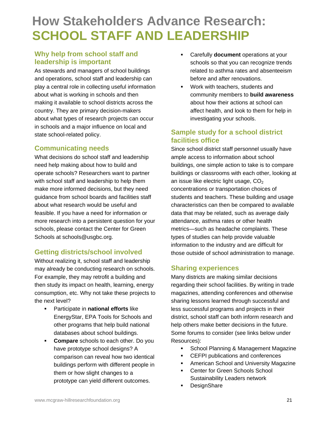## **How Stakeholders Advance Research: SCHOOL STAFF AND LEADERSHIP**

### **Why help from school staff and leadership is important**

As stewards and managers of school buildings and operations, school staff and leadership can play a central role in collecting useful information about what is working in schools and then making it available to school districts across the country. They are primary decision-makers about what types of research projects can occur in schools and a major influence on local and state school-related policy.

### **Communicating needs**

What decisions do school staff and leadership need help making about how to build and operate schools? Researchers want to partner with school staff and leadership to help them make more informed decisions, but they need guidance from school boards and facilities staff about what research would be useful and feasible. If you have a need for information or more research into a persistent question for your schools, please contact the Center for Green Schools at schools@usgbc.org.

### **Getting districts/school involved**

Without realizing it, school staff and leadership may already be conducting research on schools. For example, they may retrofit a building and then study its impact on health, learning, energy consumption, etc. Why not take these projects to the next level?

- Participate in **national efforts** like EnergyStar, EPA Tools for Schools and other programs that help build national databases about school buildings.
- **Compare** schools to each other. Do you have prototype school designs? A comparison can reveal how two identical buildings perform with different people in them or how slight changes to a prototype can yield different outcomes.
- Carefully **document** operations at your schools so that you can recognize trends related to asthma rates and absenteeism before and after renovations.
- **Work with teachers, students and** community members to **build awareness** about how their actions at school can affect health, and look to them for help in investigating your schools.

### **Sample study for a school district facilities office**

Since school district staff personnel usually have ample access to information about school buildings, one simple action to take is to compare buildings or classrooms with each other, looking at an issue like electric light usage,  $CO<sub>2</sub>$ concentrations or transportation choices of students and teachers. These building and usage characteristics can then be compared to available data that may be related, such as average daily attendance, asthma rates or other health metrics—such as headache complaints. These types of studies can help provide valuable information to the industry and are difficult for those outside of school administration to manage.

### **Sharing experiences**

Many districts are making similar decisions regarding their school facilities. By writing in trade magazines, attending conferences and otherwise sharing lessons learned through successful and less successful programs and projects in their district, school staff can both inform research and help others make better decisions in the future. Some forums to consider (see links below under Resources):

- **School Planning & Management Magazine**
- **EXECTEREN** publications and conferences
- **American School and University Magazine**
- Center for Green Schools School Sustainability Leaders network
- **DesignShare**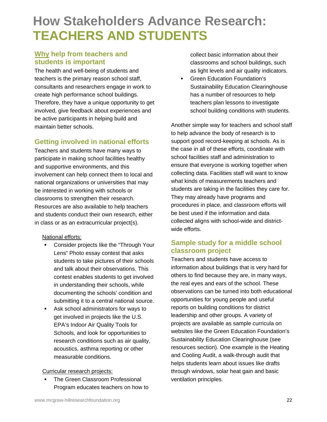## **How Stakeholders Advance Research: TEACHERS AND STUDENTS**

### **Why help from teachers and students is important**

The health and well-being of students and teachers is the primary reason school staff, consultants and researchers engage in work to create high performance school buildings. Therefore, they have a unique opportunity to get involved, give feedback about experiences and be active participants in helping build and maintain better schools.

### **Getting involved in national efforts**

Teachers and students have many ways to participate in making school facilities healthy and supportive environments, and this involvement can help connect them to local and national organizations or universities that may be interested in working with schools or classrooms to strengthen their research. Resources are also available to help teachers and students conduct their own research, either in class or as an extracurricular project(s).

### National efforts:

- Consider projects like the "Through Your Lens" Photo essay contest that asks students to take pictures of their schools and talk about their observations. This contest enables students to get involved in understanding their schools, while documenting the schools' condition and submitting it to a central national source.
- Ask school administrators for ways to get involved in projects like the U.S. EPA's Indoor Air Quality Tools for Schools, and look for opportunities to research conditions such as air quality, acoustics, asthma reporting or other measurable conditions.

### Curricular research projects:

**The Green Classroom Professional** Program educates teachers on how to collect basic information about their classrooms and school buildings, such as light levels and air quality indicators.

**Green Education Foundation's** Sustainability Education Clearinghouse has a number of resources to help teachers plan lessons to investigate school building conditions with students.

Another simple way for teachers and school staff to help advance the body of research is to support good record-keeping at schools. As is the case in all of these efforts, coordinate with school facilities staff and administration to ensure that everyone is working together when collecting data. Facilities staff will want to know what kinds of measurements teachers and students are taking in the facilities they care for. They may already have programs and procedures in place, and classroom efforts will be best used if the information and data collected aligns with school-wide and districtwide efforts.

### **Sample study for a middle school classroom project**

Teachers and students have access to information about buildings that is very hard for others to find because they are, in many ways, the real eyes and ears of the school. These observations can be turned into both educational opportunities for young people and useful reports on building conditions for district leadership and other groups. A variety of projects are available as sample curricula on websites like the Green Education Foundation's Sustainability Education Clearinghouse (see resources section). One example is the Heating and Cooling Audit, a walk-through audit that helps students learn about issues like drafts through windows, solar heat gain and basic ventilation principles.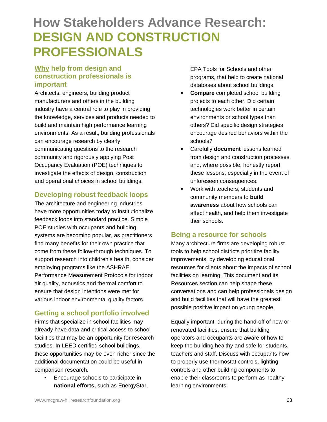## **How Stakeholders Advance Research: DESIGN AND CONSTRUCTION PROFESSIONALS**

### **Why help from design and construction professionals is important**

Architects, engineers, building product manufacturers and others in the building industry have a central role to play in providing the knowledge, services and products needed to build and maintain high performance learning environments. As a result, building professionals can encourage research by clearly communicating questions to the research community and rigorously applying Post Occupancy Evaluation (POE) techniques to investigate the effects of design, construction and operational choices in school buildings.

### **Developing robust feedback loops**

The architecture and engineering industries have more opportunities today to institutionalize feedback loops into standard practice. Simple POE studies with occupants and building systems are becoming popular, as practitioners find many benefits for their own practice that come from these follow-through techniques. To support research into children's health, consider employing programs like the ASHRAE Performance Measurement Protocols for indoor air quality, acoustics and thermal comfort to ensure that design intentions were met for various indoor environmental quality factors.

### **Getting a school portfolio involved**

Firms that specialize in school facilities may already have data and critical access to school facilities that may be an opportunity for research studies. In LEED certified school buildings, these opportunities may be even richer since the additional documentation could be useful in comparison research.

**Encourage schools to participate in national efforts,** such as EnergyStar, EPA Tools for Schools and other programs, that help to create national databases about school buildings.

- **Compare** completed school building projects to each other. Did certain technologies work better in certain environments or school types than others? Did specific design strategies encourage desired behaviors within the schools?
- Carefully **document** lessons learned from design and construction processes, and, where possible, honestly report these lessons, especially in the event of unforeseen consequences.
- **Work with teachers, students and** community members to **build awareness** about how schools can affect health, and help them investigate their schools.

### **Being a resource for schools**

Many architecture firms are developing robust tools to help school districts prioritize facility improvements, by developing educational resources for clients about the impacts of school facilities on learning. This document and its Resources section can help shape these conversations and can help professionals design and build facilities that will have the greatest possible positive impact on young people.

Equally important, during the hand-off of new or renovated facilities, ensure that building operators and occupants are aware of how to keep the building healthy and safe for students, teachers and staff. Discuss with occupants how to properly use thermostat controls, lighting controls and other building components to enable their classrooms to perform as healthy learning environments.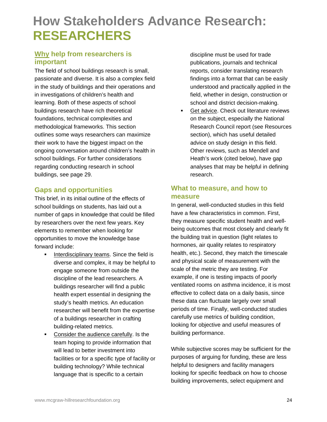## **How Stakeholders Advance Research: RESEARCHERS**

### **Why help from researchers is important**

The field of school buildings research is small, passionate and diverse. It is also a complex field in the study of buildings and their operations and in investigations of children's health and learning. Both of these aspects of school buildings research have rich theoretical foundations, technical complexities and methodological frameworks. This section outlines some ways researchers can maximize their work to have the biggest impact on the ongoing conversation around children's health in school buildings. For further considerations regarding conducting research in school buildings, see page 29.

### **Gaps and opportunities**

This brief, in its initial outline of the effects of school buildings on students, has laid out a number of gaps in knowledge that could be filled by researchers over the next few years. Key elements to remember when looking for opportunities to move the knowledge base forward include:

- **Interdisciplinary teams. Since the field is** diverse and complex, it may be helpful to engage someone from outside the discipline of the lead researchers. A buildings researcher will find a public health expert essential in designing the study's health metrics. An education researcher will benefit from the expertise of a buildings researcher in crafting building-related metrics.
- **•** Consider the audience carefully. Is the team hoping to provide information that will lead to better investment into facilities or for a specific type of facility or building technology? While technical language that is specific to a certain

discipline must be used for trade publications, journals and technical reports, consider translating research findings into a format that can be easily understood and practically applied in the field, whether in design, construction or school and district decision-making.

**Get advice. Check out literature reviews** on the subject, especially the National Research Council report (see Resources section), which has useful detailed advice on study design in this field. Other reviews, such as Mendell and Heath's work (cited below), have gap analyses that may be helpful in defining research.

### **What to measure, and how to measure**

In general, well-conducted studies in this field have a few characteristics in common. First, they measure specific student health and wellbeing outcomes that most closely and clearly fit the building trait in question (light relates to hormones, air quality relates to respiratory health, etc.). Second, they match the timescale and physical scale of measurement with the scale of the metric they are testing. For example, if one is testing impacts of poorly ventilated rooms on asthma incidence, it is most effective to collect data on a daily basis, since these data can fluctuate largely over small periods of time. Finally, well-conducted studies carefully use metrics of building condition, looking for objective and useful measures of building performance.

While subjective scores may be sufficient for the purposes of arguing for funding, these are less helpful to designers and facility managers looking for specific feedback on how to choose building improvements, select equipment and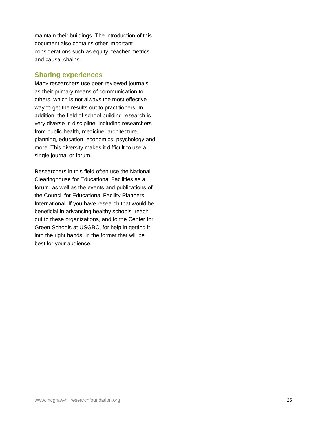maintain their buildings. The introduction of this document also contains other important considerations such as equity, teacher metrics and causal chains.

### **Sharing experiences**

Many researchers use peer-reviewed journals as their primary means of communication to others, which is not always the most effective way to get the results out to practitioners. In addition, the field of school building research is very diverse in discipline, including researchers from public health, medicine, architecture, planning, education, economics, psychology and more. This diversity makes it difficult to use a single journal or forum.

Researchers in this field often use the National Clearinghouse for Educational Facilities as a forum, as well as the events and publications of the Council for Educational Facility Planners International. If you have research that would be beneficial in advancing healthy schools, reach out to these organizations, and to the Center for Green Schools at USGBC, for help in getting it into the right hands, in the format that will be best for your audience.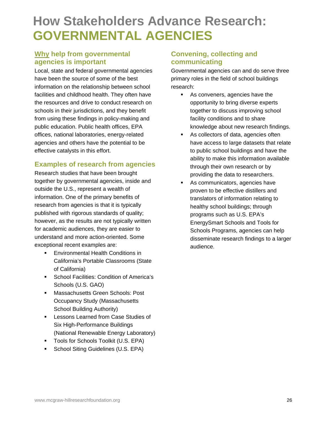## **How Stakeholders Advance Research: GOVERNMENTAL AGENCIES**

### **Why help from governmental agencies is important**

Local, state and federal governmental agencies have been the source of some of the best information on the relationship between school facilities and childhood health. They often have the resources and drive to conduct research on schools in their jurisdictions, and they benefit from using these findings in policy-making and public education. Public health offices, EPA offices, national laboratories, energy-related agencies and others have the potential to be effective catalysts in this effort.

### **Examples of research from agencies**

Research studies that have been brought together by governmental agencies, inside and outside the U.S., represent a wealth of information. One of the primary benefits of research from agencies is that it is typically published with rigorous standards of quality; however, as the results are not typically written for academic audiences, they are easier to understand and more action-oriented. Some exceptional recent examples are:

- **Environmental Health Conditions in** California's Portable Classrooms (State of California)
- **School Facilities: Condition of America's** Schools (U.S. GAO)
- **Massachusetts Green Schools: Post** Occupancy Study (Massachusetts School Building Authority)
- **Lessons Learned from Case Studies of** Six High-Performance Buildings (National Renewable Energy Laboratory)
- **Tools for Schools Toolkit (U.S. EPA)**
- **School Siting Guidelines (U.S. EPA)**

### **Convening, collecting and communicating**

Governmental agencies can and do serve three primary roles in the field of school buildings research:

- As conveners, agencies have the opportunity to bring diverse experts together to discuss improving school facility conditions and to share knowledge about new research findings.
- As collectors of data, agencies often have access to large datasets that relate to public school buildings and have the ability to make this information available through their own research or by providing the data to researchers.
- As communicators, agencies have proven to be effective distillers and translators of information relating to healthy school buildings; through programs such as U.S. EPA's EnergySmart Schools and Tools for Schools Programs, agencies can help disseminate research findings to a larger audience.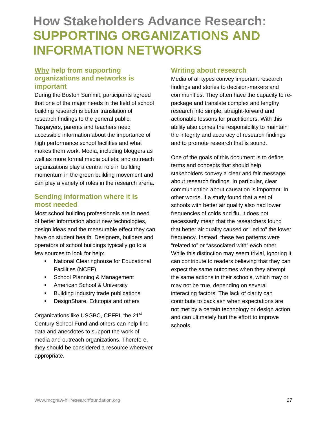### **How Stakeholders Advance Research: SUPPORTING ORGANIZATIONS AND INFORMATION NETWORKS**

### **Why help from supporting organizations and networks is important**

During the Boston Summit, participants agreed that one of the major needs in the field of school building research is better translation of research findings to the general public. Taxpayers, parents and teachers need accessible information about the importance of high performance school facilities and what makes them work. Media, including bloggers as well as more formal media outlets, and outreach organizations play a central role in building momentum in the green building movement and can play a variety of roles in the research arena.

### **Sending information where it is most needed**

Most school building professionals are in need of better information about new technologies, design ideas and the measurable effect they can have on student health. Designers, builders and operators of school buildings typically go to a few sources to look for help:

- **National Clearinghouse for Educational** Facilities (NCEF)
- **School Planning & Management**
- **American School & University**
- **Building industry trade publications**
- **•** DesignShare, Edutopia and others

Organizations like USGBC, CEFPI, the 21<sup>st</sup> Century School Fund and others can help find data and anecdotes to support the work of media and outreach organizations. Therefore, they should be considered a resource wherever appropriate.

### **Writing about research**

Media of all types convey important research findings and stories to decision-makers and communities. They often have the capacity to repackage and translate complex and lengthy research into simple, straight-forward and actionable lessons for practitioners. With this ability also comes the responsibility to maintain the integrity and accuracy of research findings and to promote research that is sound.

One of the goals of this document is to define terms and concepts that should help stakeholders convey a clear and fair message about research findings. In particular, clear communication about causation is important. In other words, if a study found that a set of schools with better air quality also had lower frequencies of colds and flu, it does not necessarily mean that the researchers found that better air quality caused or "led to" the lower frequency. Instead, these two patterns were "related to" or "associated with" each other. While this distinction may seem trivial, ignoring it can contribute to readers believing that they can expect the same outcomes when they attempt the same actions in their schools, which may or may not be true, depending on several interacting factors. The lack of clarity can contribute to backlash when expectations are not met by a certain technology or design action and can ultimately hurt the effort to improve schools.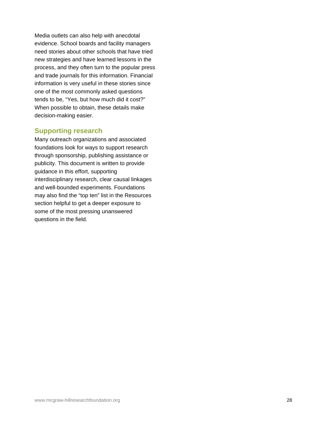Media outlets can also help with anecdotal evidence. School boards and facility managers need stories about other schools that have tried new strategies and have learned lessons in the process, and they often turn to the popular press and trade journals for this information. Financial information is very useful in these stories since one of the most commonly asked questions tends to be, "Yes, but how much did it cost?" When possible to obtain, these details make decision-making easier.

### **Supporting research**

Many outreach organizations and associated foundations look for ways to support research through sponsorship, publishing assistance or publicity. This document is written to provide guidance in this effort, supporting interdisciplinary research, clear causal linkages and well-bounded experiments. Foundations may also find the "top ten" list in the Resources section helpful to get a deeper exposure to some of the most pressing unanswered questions in the field.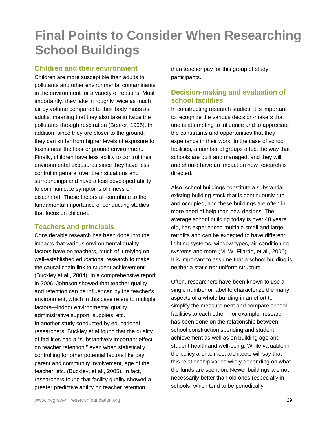## **Final Points to Consider When Researching School Buildings**

### **Children and their environment**

Children are more susceptible than adults to pollutants and other environmental contaminants in the environment for a variety of reasons. Most importantly, they take in roughly twice as much air by volume compared to their body mass as adults, meaning that they also take in twice the pollutants through respiration (Bearer, 1995). In addition, since they are closer to the ground, they can suffer from higher levels of exposure to toxins near the floor or ground environment. Finally, children have less ability to control their environmental exposures since they have less control in general over their situations and surroundings and have a less developed ability to communicate symptoms of illness or discomfort. These factors all contribute to the fundamental importance of conducting studies that focus on children.

### **Teachers and principals**

Considerable research has been done into the impacts that various environmental quality factors have on teachers, much of it relying on well-established educational research to make the causal chain link to student achievement (Buckley et al., 2004). In a comprehensive report in 2006, Johnson showed that teacher quality and retention can be influenced by the teacher's environment, which in this case refers to multiple factors—indoor environmental quality, administrative support, supplies, etc. In another study conducted by educational researchers, Buckley et al found that the quality of facilities had a "substantively important effect on teacher retention," even when statistically controlling for other potential factors like pay, parent and community involvement, age of the teacher, etc. (Buckley, et al., 2005). In fact, researchers found that facility quality showed a greater predictive ability on teacher retention

than teacher pay for this group of study participants.

### **Decision-making and evaluation of school facilities**

In constructing research studies, it is important to recognize the various decision-makers that one is attempting to influence and to appreciate the constraints and opportunities that they experience in their work. In the case of school facilities, a number of groups affect the way that schools are built and managed, and they will and should have an impact on how research is directed.

Also, school buildings constitute a substantial existing building stock that is continuously run and occupied, and these buildings are often in more need of help than new designs. The average school building today is over 40 years old, has experienced multiple small and large retrofits and can be expected to have different lighting systems, window types, air-conditioning systems and more (M. W. Filardo, et al., 2006). It is important to assume that a school building is neither a static nor uniform structure.

Often, researchers have been known to use a single number or label to characterize the many aspects of a whole building in an effort to simplify the measurement and compare school facilities to each other. For example, research has been done on the relationship between school construction spending and student achievement as well as on building age and student health and well-being. While valuable in the policy arena, most architects will say that this relationship varies wildly depending on what the funds are spent on. Newer buildings are not necessarily better than old ones (especially in schools, which tend to be periodically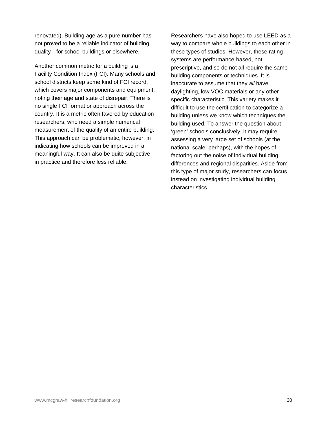renovated). Building age as a pure number has not proved to be a reliable indicator of building quality—for school buildings or elsewhere.

Another common metric for a building is a Facility Condition Index (FCI). Many schools and school districts keep some kind of FCI record, which covers major components and equipment, noting their age and state of disrepair. There is no single FCI format or approach across the country. It is a metric often favored by education researchers, who need a simple numerical measurement of the quality of an entire building. This approach can be problematic, however, in indicating how schools can be improved in a meaningful way. It can also be quite subjective in practice and therefore less reliable.

Researchers have also hoped to use LEED as a way to compare whole buildings to each other in these types of studies. However, these rating systems are performance-based, not prescriptive, and so do not all require the same building components or techniques. It is inaccurate to assume that they *all* have daylighting, low VOC materials or any other specific characteristic. This variety makes it difficult to use the certification to categorize a building unless we know which techniques the building used. To answer the question about 'green' schools conclusively, it may require assessing a very large set of schools (at the national scale, perhaps), with the hopes of factoring out the noise of individual building differences and regional disparities. Aside from this type of major study, researchers can focus instead on investigating individual building characteristics.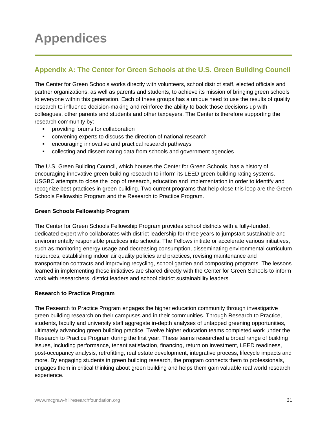## **Appendices**

### **Appendix A: The Center for Green Schools at the U.S. Green Building Council**

The Center for Green Schools works directly with volunteers, school district staff, elected officials and partner organizations, as well as parents and students, to achieve its mission of bringing green schools to everyone within this generation. Each of these groups has a unique need to use the results of quality research to influence decision-making and reinforce the ability to back those decisions up with colleagues, other parents and students and other taxpayers. The Center is therefore supporting the research community by:

- providing forums for collaboration
- convening experts to discuss the direction of national research
- encouraging innovative and practical research pathways
- collecting and disseminating data from schools and government agencies

The U.S. Green Building Council, which houses the Center for Green Schools, has a history of encouraging innovative green building research to inform its LEED green building rating systems. USGBC attempts to close the loop of research, education and implementation in order to identify and recognize best practices in green building. Two current programs that help close this loop are the Green Schools Fellowship Program and the Research to Practice Program.

#### **Green Schools Fellowship Program**

The Center for Green Schools Fellowship Program provides school districts with a fully-funded, dedicated expert who collaborates with district leadership for three years to jumpstart sustainable and environmentally responsible practices into schools. The Fellows initiate or accelerate various initiatives, such as monitoring energy usage and decreasing consumption, disseminating environmental curriculum resources, establishing indoor air quality policies and practices, revising maintenance and transportation contracts and improving recycling, school garden and composting programs. The lessons learned in implementing these initiatives are shared directly with the Center for Green Schools to inform work with researchers, district leaders and school district sustainability leaders.

#### **Research to Practice Program**

The Research to Practice Program engages the higher education community through investigative green building research on their campuses and in their communities. Through Research to Practice, students, faculty and university staff aggregate in-depth analyses of untapped greening opportunities, ultimately advancing green building practice. Twelve higher education teams completed work under the Research to Practice Program during the first year. These teams researched a broad range of building issues, including performance, tenant satisfaction, financing, return on investment, LEED readiness, post-occupancy analysis, retrofitting, real estate development, integrative process, lifecycle impacts and more. By engaging students in green building research, the program connects them to professionals, engages them in critical thinking about green building and helps them gain valuable real world research experience.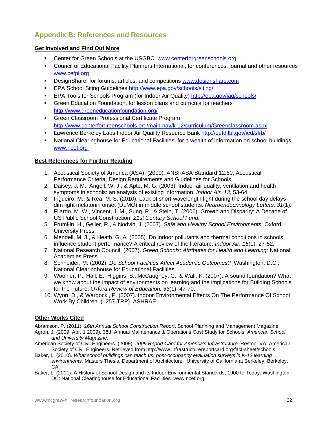### **Appendix B: References and Resources**

#### **Get Involved and Find Out More**

- **EXECTERCY CENTER CHANGES 2018 CHANGES CONTEX CENTERCY CENTER** Center for Green Schools.org
- Council of Educational Facility Planners International, for conferences, journal and other resources [www.cefpi.org](http://www.cefpi.org/)
- DesignShare, for forums, articles, and competitions [www.designshare.com](http://www.designshare.com/)
- EPA School Siting Guidelines<http://www.epa.gov/schools/siting/>
- EPA Tools for Schools Program (for Indoor Air Quality)<http://epa.gov/iaq/schools/>
- Green Education Foundation, for lesson plans and curricula for teachers <http://www.greeneducationfoundation.org/>
- **EXECTE:** Green Classroom Professional Certificate Program <http://www.centerforgreenschools.org/main-nav/k-12/curriculum/Greenclassroom.aspx>
- Lawrence Berkeley Labs Indoor Air Quality Resource Bank<http://eetd.lbl.gov/ied/sfrb/>
- National Clearinghouse for Educational Facilities, for a wealth of information on school buildings [www.ncef.org](http://www.edfacilities.org/)

#### **Best References for Further Reading**

- 1. Acoustical Society of America (ASA). (2009). ANSI-ASA Standard 12.60, Acoustical Performance Criteria, Design Requirements and Guidelines for Schools.
- 2. Daisey, J. M., Angell, W. J., & Apte, M. G. (2003). Indoor air quality, ventilation and health symptoms in schools: an analysis of existing information. *Indoor Air, 13*, 53-64.
- 3. Figueiro, M., & Rea, M. S. (2010). Lack of short-wavelength light during the school day delays dim light melatonin onset (DLMO) in middle school students. *Neuroendocrinology Letters, 31*(1).
- 4. Filardo, M. W., Vincent, J. M., Sung, P., & Stein, T. (2006). Growth and Disparity: A Decade of US Public School Construction. *21st Century School Fund*.
- 5. Frumkin, H., Geller, R., & Nodvin, J. (2007). *Safe and Healthy School Environments*: Oxford University Press.
- 6. Mendell, M. J., & Heath, G. A. (2005). Do indoor pollutants and thermal conditions in schools influence student performance? A critical review of the literature. *Indoor Air, 15*(1), 27-52.
- 7. National Research Council. (2007). *Green Schools: Attributes for Health and Learning*: National Academies Press.
- 8. Schneider, M. (2002). *Do School Facilities Affect Academic Outcomes?* Washington, D.C.: National Clearinghouse for Educational Facilities.
- 9. Woolner, P., Hall, E., Higgins, S., McCaughey, C., & Wall, K. (2007). A sound foundation? What we know about the impact of environments on learning and the implications for Building Schools for the Future. *Oxford Review of Education, 33*(1), 47-70.
- 10. Wyon, D., & Wargocki, P. (2007). Indoor Environmental Effects On The Performance Of School Work By Children. (1257-TRP). ASHRAE.

#### **Other Works Cited**

Abramson, P. (2011). *16th Annual School Construction Report*. School Planning and Management Magazine.

- Agron, J. (2009, Apr. 1 2009). 38th Annual Maintenance & Operations Cost Study for Schools. *American School and University Magazine*.
- American Society of Civil Engineers. (2009). *2009 Report Card for America's Infrastructure*. Reston, VA: American Society of Civil Engineers. Retrieved from http://www.infrastructurereportcard.org/fact-sheet/schools.
- Baker, L. (2010). *What school buildings can teach us: post-occupancy evaluation surveys in K-12 learning environments.* Masters Thesis, Department of Architecture, University of California at Berkeley, Berkeley, CA.
- Baker, L. (2011). A History of School Design and its Indoor Environmental Standards, 1900 to Today. Washington, DC: National Clearinghouse for Educational Facilities. www.ncef.org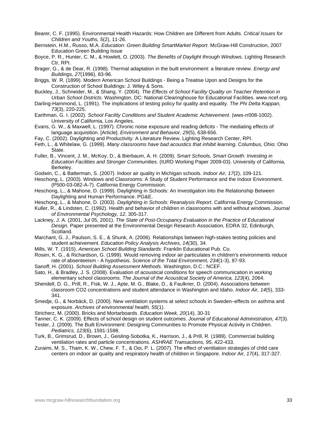- Bearer, C. F. (1995). Environmental Health Hazards: How Children are Different from Adults. *Critical Issues for Children and Youths, 5*(2), 11-26.
- Bernstein, H.M., Russo, M.A. *Education: Green Building SmartMarket Report*. McGraw-Hill Construction, 2007 Education Green Building Issue
- Boyce, P. R., Hunter, C. M., & Howlett, O. (2003). *The Benefits of Daylight through Windows*. Lighting Research Ctr, RPI.
- Brager, G., & de Dear, R. (1998). Thermal adaptation in the built environment: a literature review. *Energy and Buildings, 27*(1996), 83-96.
- Briggs, W. R. (1899). Modern American School Buildings Being a Treatise Upon and Designs for the Construction of School Buildings: J. Wiley & Sons.
- Buckley, J., Schneider, M., & Shang, Y. (2004). *The Effects of School Facility Quality on Teacher Retention in Urban School Districts.* Washington, DC: National Clearinghouse for Educational Facilities. www.ncef.org.
- Darling-Hammond, L. (1991). The implications of testing policy for quality and equality. *The Phi Delta Kappan, 73*(3), 220-225.
- Earthman, G. I. (2002). *School Facility Conditions and Student Academic Achievement*. (wws-rr008-1002). University of California, Los Angeles.
- Evans, G. W., & Maxwell, L. (1997). Chronic noise exposure and reading deficits The mediating effects of language acquisition. [Article]. *Environment and Behavior, 29*(5), 638-656.
- Fay, C. (2002). Daylighting and Productivity: A Literature Review. Lighting Research Center, RPI.
- Feth, L., & Whitelaw, G. (1999). *Many classrooms have bad acoustics that inhibit learning*. Columbus, Ohio: Ohio State.
- Fuller, B., Vincent, J. M., McKoy, D., & Bierbaum, A. H. (2009). *Smart Schools, Smart Growth: Investing in Education Facilities and Stronger Communities*. (IURD Working Paper 2009-03). University of California, Berkeley.
- Godwin, C., & Batterman, S. (2007). Indoor air quality in Michigan schools. *Indoor Air, 17*(2), 109-121.
- Heschong, L. (2003). Windows and Classrooms: A Study of Student Performance and the Indoor Environment. (P500-03-082-A-7). California Energy Commission.
- Heschong, L., & Mahone, D. (1999). Daylighting in Schools: An Investigation into the Relationship Between Daylighting and Human Performance. PG&E.
- Heschong, L., & Mahone, D. (2003). *Daylighting in Schools: Reanalysis Report*. California Energy Commission.
- Kuller, R., & Lindsten, C. (1992). Health and behavior of children in classrooms with and without windows. *Journal of Environmental Psychology, 12*, 305-317.
- Lackney, J. A. (2001, Jul 05, 2001). *The State of Post-Occupancy Evaluation in the Practice of Educational Design.* Paper presented at the Environmental Design Research Association, EDRA 32, Edinburgh, Scotland.
- Marchant, G. J., Paulson, S. E., & Shunk, A. (2006). Relationships between high-stakes testing policies and student achievement. *Education Policy Analysis Archives, 14*(30), 34.
- Mills, W. T. (1915). *American School Building Standards*: Franklin Educational Pub. Co.
- Rosen, K. G., & Richardson, G. (1999). Would removing indoor air particulates in children's environments reduce rate of absenteeism - A hypothesis. *Science of the Total Environment, 234*(1-3), 87-93.
- Sanoff, H. (2001). *School Building Assessment Methods*. Washington, D.C.: NCEF.
- Sato, H., & Bradley, J. S. (2008). Evaluation of acoustical conditions for speech communication in working elementary school classrooms. *The Journal of the Acoustical Society of America, 123*(4), 2064.
- Shendell, D. G., Prill, R., Fisk, W. J., Apte, M. G., Blake, D., & Faulkner, D. (2004). Associations between classroom CO2 concentrations and student attendance in Washington and Idaho. *Indoor Air, 14*(5), 333- 341.
- Smedje, G., & Norbäck, D. (2000). New ventilation systems at select schools in Sweden–effects on asthma and exposure. *Archives of environmental health, 55*(1).
- Stricherz, M. (2000). Bricks and Mortarboards. *Education Week, 20*(14), 30-31
- Tanner, C. K. (2009). Effects of school design on student outcomes. *Journal of Educational Administration, 47*(3).
- Tester, J. (2009). The Built Environment: Designing Communities to Promote Physical Activity in Children. *Pediatrics, 123*(6), 1591-1598.
- Turk, B., Grimsrud, D., Brown, J., Geisling-Sobotka, K., Harrison, J., & Prill, R. (1989). Commercial building ventilation rates and particle concentrations. *ASHRAE Transactions, 95*, 422-433.
- Zuraimi, M. S., Tham, K. W., Chew, F. T., & Ooi, P. L. (2007). The effect of ventilation strategies of child care centers on indoor air quality and respiratory health of children in Singapore. *Indoor Air, 17*(4), 317-327.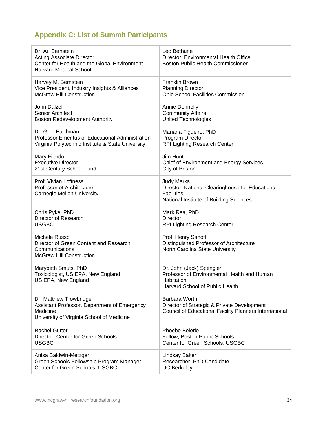### **Appendix C: List of Summit Participants**

| Dr. Ari Bernstein                                                                                                               | Leo Bethune                                                                                                                           |
|---------------------------------------------------------------------------------------------------------------------------------|---------------------------------------------------------------------------------------------------------------------------------------|
| <b>Acting Associate Director</b>                                                                                                | Director, Environmental Health Office                                                                                                 |
| Center for Health and the Global Environment                                                                                    | <b>Boston Public Health Commissioner</b>                                                                                              |
| <b>Harvard Medical School</b>                                                                                                   |                                                                                                                                       |
| Harvey M. Bernstein                                                                                                             | <b>Franklin Brown</b>                                                                                                                 |
| Vice President, Industry Insights & Alliances                                                                                   | <b>Planning Director</b>                                                                                                              |
| <b>McGraw Hill Construction</b>                                                                                                 | <b>Ohio School Facilities Commission</b>                                                                                              |
| John Dalzell                                                                                                                    | <b>Annie Donnelly</b>                                                                                                                 |
| <b>Senior Architect</b>                                                                                                         | <b>Community Affairs</b>                                                                                                              |
| <b>Boston Redevelopment Authority</b>                                                                                           | <b>United Technologies</b>                                                                                                            |
| Dr. Glen Earthman                                                                                                               | Mariana Figueiro, PhD                                                                                                                 |
| <b>Professor Emeritus of Educational Administration</b>                                                                         | Program Director                                                                                                                      |
| Virginia Polytechnic Institute & State University                                                                               | RPI Lighting Research Center                                                                                                          |
| Mary Filardo                                                                                                                    | Jim Hunt                                                                                                                              |
| <b>Executive Director</b>                                                                                                       | <b>Chief of Environment and Energy Services</b>                                                                                       |
| 21st Century School Fund                                                                                                        | City of Boston                                                                                                                        |
| Prof. Vivian Loftness<br>Professor of Architecture<br>Carnegie Mellon University                                                | <b>Judy Marks</b><br>Director, National Clearinghouse for Educational<br><b>Facilities</b><br>National Institute of Building Sciences |
| Chris Pyke, PhD                                                                                                                 | Mark Rea, PhD                                                                                                                         |
| Director of Research                                                                                                            | <b>Director</b>                                                                                                                       |
| <b>USGBC</b>                                                                                                                    | <b>RPI Lighting Research Center</b>                                                                                                   |
| Michele Russo<br>Director of Green Content and Research<br>Communications<br><b>McGraw Hill Construction</b>                    | Prof. Henry Sanoff<br>Distinguished Professor of Architecture<br>North Carolina State University                                      |
| Marybeth Smuts, PhD<br>Toxicologist, US EPA, New England<br>US EPA, New England                                                 | Dr. John (Jack) Spengler<br>Professor of Environmental Health and Human<br>Habitation<br>Harvard School of Public Health              |
| Dr. Matthew Trowbridge<br>Assistant Professor, Department of Emergency<br>Medicine<br>University of Virginia School of Medicine | <b>Barbara Worth</b><br>Director of Strategic & Private Development<br>Council of Educational Facility Planners International         |
| <b>Rachel Gutter</b>                                                                                                            | <b>Phoebe Beierle</b>                                                                                                                 |
| Director, Center for Green Schools                                                                                              | Fellow, Boston Public Schools                                                                                                         |
| <b>USGBC</b>                                                                                                                    | Center for Green Schools, USGBC                                                                                                       |
| Anisa Baldwin-Metzger                                                                                                           | <b>Lindsay Baker</b>                                                                                                                  |
| Green Schools Fellowship Program Manager                                                                                        | Researcher, PhD Candidate                                                                                                             |
| Center for Green Schools, USGBC                                                                                                 | <b>UC Berkeley</b>                                                                                                                    |